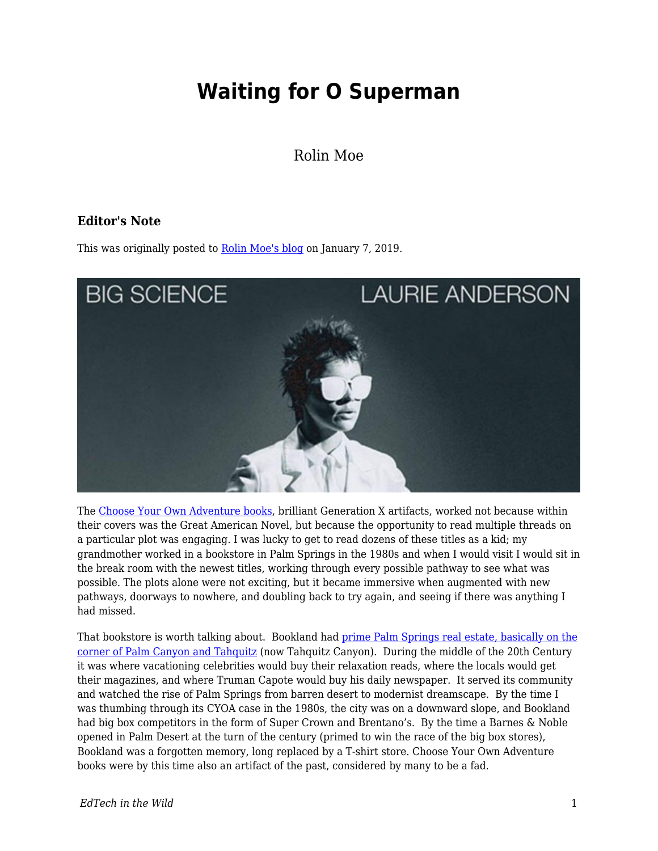## **Waiting for O Superman**

## Rolin Moe

## **Editor's Note**

This was originally posted to **Rolin Moe's blog on January 7, 2019.** 



The [Choose Your Own Adventure books](https://en.wikipedia.org/wiki/Choose_Your_Own_Adventure), brilliant Generation X artifacts, worked not because within their covers was the Great American Novel, but because the opportunity to read multiple threads on a particular plot was engaging. I was lucky to get to read dozens of these titles as a kid; my grandmother worked in a bookstore in Palm Springs in the 1980s and when I would visit I would sit in the break room with the newest titles, working through every possible pathway to see what was possible. The plots alone were not exciting, but it became immersive when augmented with new pathways, doorways to nowhere, and doubling back to try again, and seeing if there was anything I had missed.

That bookstore is worth talking about. Bookland had [prime Palm Springs real estate, basically on the](https://www.google.com/maps/place/S+Palm+Canyon+Dr+%26+E+Tahquitz+Canyon+Way,+Palm+Springs,+CA+92262/data=!4m2!3m1!1s0x80db1ba5a853f43d:0x45847921f476c668?ved=2ahUKEwjbv9TEq9zfAhXYITQIHXfjDYMQ8gEwAHoECAAQAQ) [corner of Palm Canyon and Tahquitz](https://www.google.com/maps/place/S+Palm+Canyon+Dr+%26+E+Tahquitz+Canyon+Way,+Palm+Springs,+CA+92262/data=!4m2!3m1!1s0x80db1ba5a853f43d:0x45847921f476c668?ved=2ahUKEwjbv9TEq9zfAhXYITQIHXfjDYMQ8gEwAHoECAAQAQ) (now Tahquitz Canyon). During the middle of the 20th Century it was where vacationing celebrities would buy their relaxation reads, where the locals would get their magazines, and where Truman Capote would buy his daily newspaper. It served its community and watched the rise of Palm Springs from barren desert to modernist dreamscape. By the time I was thumbing through its CYOA case in the 1980s, the city was on a downward slope, and Bookland had big box competitors in the form of Super Crown and Brentano's. By the time a Barnes & Noble opened in Palm Desert at the turn of the century (primed to win the race of the big box stores), Bookland was a forgotten memory, long replaced by a T-shirt store. Choose Your Own Adventure books were by this time also an artifact of the past, considered by many to be a fad.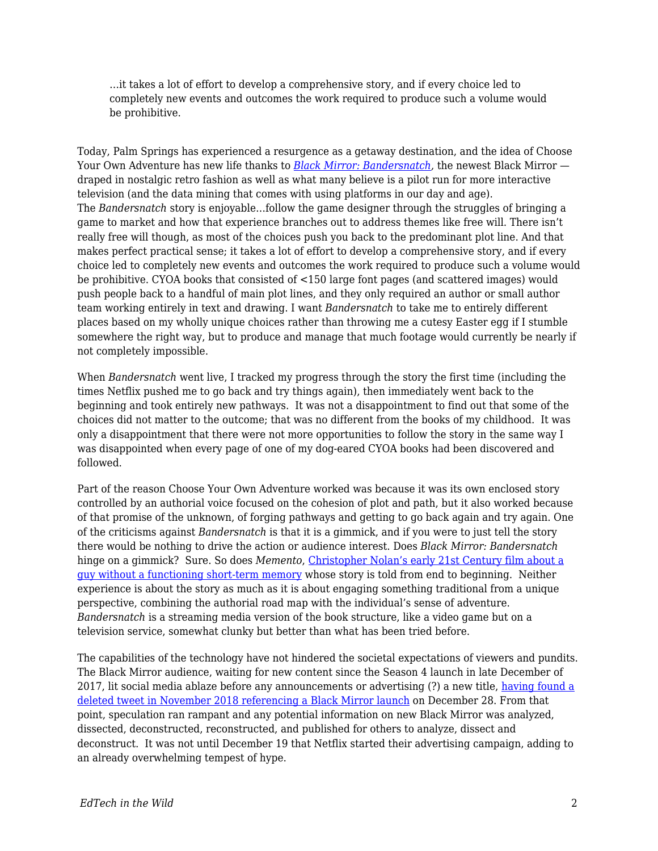…it takes a lot of effort to develop a comprehensive story, and if every choice led to completely new events and outcomes the work required to produce such a volume would be prohibitive.

Today, Palm Springs has experienced a resurgence as a getaway destination, and the idea of Choose Your Own Adventure has new life thanks to *[Black Mirror: Bandersnatch](https://en.wikipedia.org/wiki/Black_Mirror:_Bandersnatch),* the newest Black Mirror draped in nostalgic retro fashion as well as what many believe is a pilot run for more interactive television (and the data mining that comes with using platforms in our day and age). The *Bandersnatch* story is enjoyable…follow the game designer through the struggles of bringing a game to market and how that experience branches out to address themes like free will. There isn't really free will though, as most of the choices push you back to the predominant plot line. And that makes perfect practical sense; it takes a lot of effort to develop a comprehensive story, and if every choice led to completely new events and outcomes the work required to produce such a volume would be prohibitive. CYOA books that consisted of <150 large font pages (and scattered images) would push people back to a handful of main plot lines, and they only required an author or small author team working entirely in text and drawing. I want *Bandersnatch* to take me to entirely different places based on my wholly unique choices rather than throwing me a cutesy Easter egg if I stumble somewhere the right way, but to produce and manage that much footage would currently be nearly if not completely impossible.

When *Bandersnatch* went live, I tracked my progress through the story the first time (including the times Netflix pushed me to go back and try things again), then immediately went back to the beginning and took entirely new pathways. It was not a disappointment to find out that some of the choices did not matter to the outcome; that was no different from the books of my childhood. It was only a disappointment that there were not more opportunities to follow the story in the same way I was disappointed when every page of one of my dog-eared CYOA books had been discovered and followed.

Part of the reason Choose Your Own Adventure worked was because it was its own enclosed story controlled by an authorial voice focused on the cohesion of plot and path, but it also worked because of that promise of the unknown, of forging pathways and getting to go back again and try again. One of the criticisms against *Bandersnatch* is that it is a gimmick, and if you were to just tell the story there would be nothing to drive the action or audience interest. Does *Black Mirror: Bandersnatch* hinge on a gimmick? Sure. So does *Memento*, [Christopher Nolan's early 21st Century film about a](http://chrisnolan.wikia.com/wiki/Sammy_Jankis) [guy without a functioning short-term memory](http://chrisnolan.wikia.com/wiki/Sammy_Jankis) whose story is told from end to beginning. Neither experience is about the story as much as it is about engaging something traditional from a unique perspective, combining the authorial road map with the individual's sense of adventure. *Bandersnatch* is a streaming media version of the book structure, like a video game but on a television service, somewhat clunky but better than what has been tried before.

The capabilities of the technology have not hindered the societal expectations of viewers and pundits. The Black Mirror audience, waiting for new content since the Season 4 launch in late December of 2017, lit social media ablaze before any announcements or advertising (?) a new title, [having found a](https://www.indiewire.com/2018/12/black-mirror-season-5-release-leaks-fan-theory-1202024800/) [deleted tweet in November 2018 referencing a Black Mirror launch](https://www.indiewire.com/2018/12/black-mirror-season-5-release-leaks-fan-theory-1202024800/) on December 28. From that point, speculation ran rampant and any potential information on new Black Mirror was analyzed, dissected, deconstructed, reconstructed, and published for others to analyze, dissect and deconstruct. It was not until December 19 that Netflix started their advertising campaign, adding to an already overwhelming tempest of hype.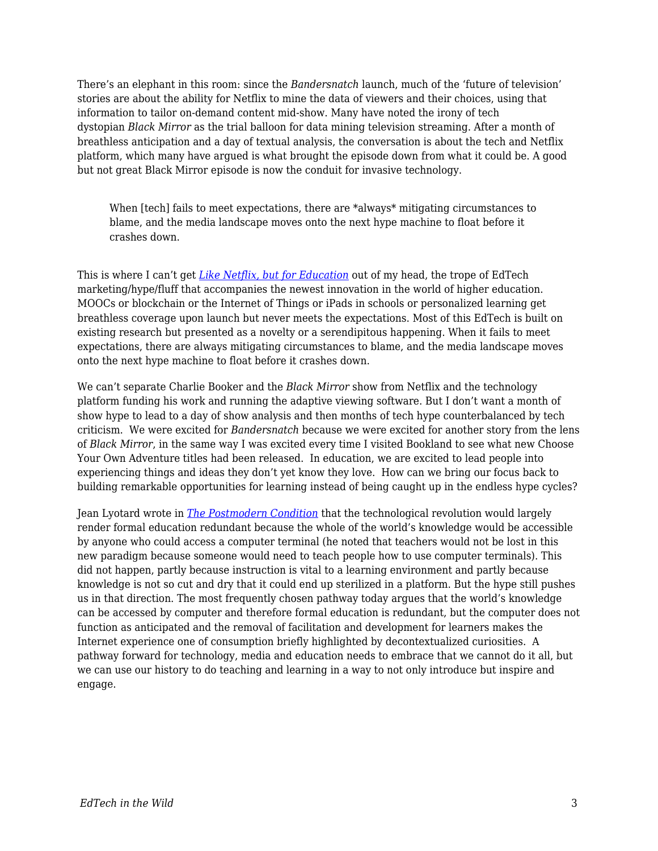There's an elephant in this room: since the *Bandersnatch* launch, much of the 'future of television' stories are about the ability for Netflix to mine the data of viewers and their choices, using that information to tailor on-demand content mid-show. Many have noted the irony of tech dystopian *Black Mirror* as the trial balloon for data mining television streaming. After a month of breathless anticipation and a day of textual analysis, the conversation is about the tech and Netflix platform, which many have argued is what brought the episode down from what it could be. A good but not great Black Mirror episode is now the conduit for invasive technology.

When [tech] fails to meet expectations, there are \*always\* mitigating circumstances to blame, and the media landscape moves onto the next hype machine to float before it crashes down.

This is where I can't get *[Like Netflix, but for Education](https://techcrunch.com/2018/12/19/kahoot-netflix-accelerator/)* out of my head, the trope of EdTech marketing/hype/fluff that accompanies the newest innovation in the world of higher education. MOOCs or blockchain or the Internet of Things or iPads in schools or personalized learning get breathless coverage upon launch but never meets the expectations. Most of this EdTech is built on existing research but presented as a novelty or a serendipitous happening. When it fails to meet expectations, there are always mitigating circumstances to blame, and the media landscape moves onto the next hype machine to float before it crashes down.

We can't separate Charlie Booker and the *Black Mirror* show from Netflix and the technology platform funding his work and running the adaptive viewing software. But I don't want a month of show hype to lead to a day of show analysis and then months of tech hype counterbalanced by tech criticism. We were excited for *Bandersnatch* because we were excited for another story from the lens of *Black Mirror*, in the same way I was excited every time I visited Bookland to see what new Choose Your Own Adventure titles had been released. In education, we are excited to lead people into experiencing things and ideas they don't yet know they love. How can we bring our focus back to building remarkable opportunities for learning instead of being caught up in the endless hype cycles?

Jean Lyotard wrote in *[The Postmodern Condition](https://monoskop.org/images/e/e0/Lyotard_Jean-Francois_The_Postmodern_Condition_A_Report_on_Knowledge.pdf)* that the technological revolution would largely render formal education redundant because the whole of the world's knowledge would be accessible by anyone who could access a computer terminal (he noted that teachers would not be lost in this new paradigm because someone would need to teach people how to use computer terminals). This did not happen, partly because instruction is vital to a learning environment and partly because knowledge is not so cut and dry that it could end up sterilized in a platform. But the hype still pushes us in that direction. The most frequently chosen pathway today argues that the world's knowledge can be accessed by computer and therefore formal education is redundant, but the computer does not function as anticipated and the removal of facilitation and development for learners makes the Internet experience one of consumption briefly highlighted by decontextualized curiosities. A pathway forward for technology, media and education needs to embrace that we cannot do it all, but we can use our history to do teaching and learning in a way to not only introduce but inspire and engage.